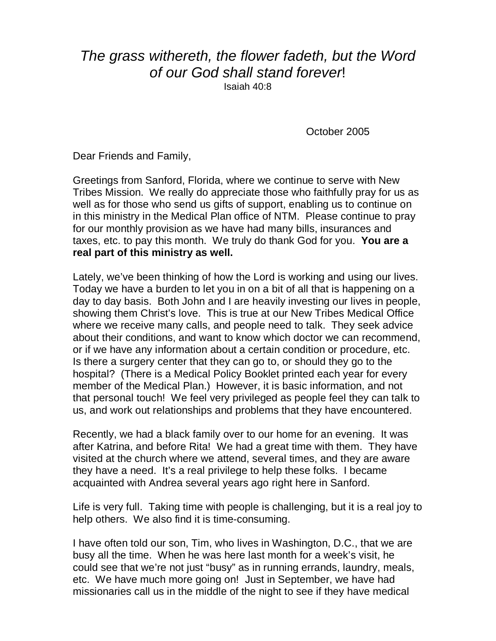## The grass withereth, the flower fadeth, but the Word of our God shall stand forever!

Isaiah 40:8

October 2005

Dear Friends and Family,

Greetings from Sanford, Florida, where we continue to serve with New Tribes Mission. We really do appreciate those who faithfully pray for us as well as for those who send us gifts of support, enabling us to continue on in this ministry in the Medical Plan office of NTM. Please continue to pray for our monthly provision as we have had many bills, insurances and taxes, etc. to pay this month. We truly do thank God for you. **You are a real part of this ministry as well.** 

Lately, we've been thinking of how the Lord is working and using our lives. Today we have a burden to let you in on a bit of all that is happening on a day to day basis. Both John and I are heavily investing our lives in people, showing them Christ's love. This is true at our New Tribes Medical Office where we receive many calls, and people need to talk. They seek advice about their conditions, and want to know which doctor we can recommend, or if we have any information about a certain condition or procedure, etc. Is there a surgery center that they can go to, or should they go to the hospital? (There is a Medical Policy Booklet printed each year for every member of the Medical Plan.) However, it is basic information, and not that personal touch! We feel very privileged as people feel they can talk to us, and work out relationships and problems that they have encountered.

Recently, we had a black family over to our home for an evening. It was after Katrina, and before Rita! We had a great time with them. They have visited at the church where we attend, several times, and they are aware they have a need. It's a real privilege to help these folks. I became acquainted with Andrea several years ago right here in Sanford.

Life is very full. Taking time with people is challenging, but it is a real joy to help others. We also find it is time-consuming.

I have often told our son, Tim, who lives in Washington, D.C., that we are busy all the time. When he was here last month for a week's visit, he could see that we're not just "busy" as in running errands, laundry, meals, etc. We have much more going on! Just in September, we have had missionaries call us in the middle of the night to see if they have medical